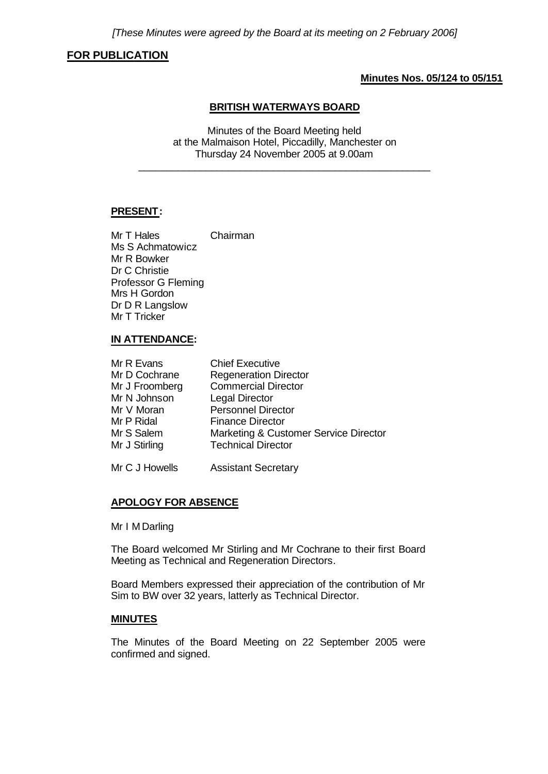# **FOR PUBLICATION**

### **Minutes Nos. 05/124 to 05/151**

### **BRITISH WATERWAYS BOARD**

Minutes of the Board Meeting held at the Malmaison Hotel, Piccadilly, Manchester on Thursday 24 November 2005 at 9.00am

\_\_\_\_\_\_\_\_\_\_\_\_\_\_\_\_\_\_\_\_\_\_\_\_\_\_\_\_\_\_\_\_\_\_\_\_\_\_\_\_\_\_\_\_\_\_\_\_\_\_\_\_

#### **PRESENT:**

Mr T Hales Chairman Ms S Achmatowicz Mr R Bowker Dr C Christie Professor G Fleming Mrs H Gordon Dr D R Langslow Mr T Tricker

#### **IN ATTENDANCE:**

| Mr R Evans     | <b>Chief Executive</b>                |
|----------------|---------------------------------------|
| Mr D Cochrane  | <b>Regeneration Director</b>          |
| Mr J Froomberg | <b>Commercial Director</b>            |
| Mr N Johnson   | Legal Director                        |
| Mr V Moran     | <b>Personnel Director</b>             |
| Mr P Ridal     | <b>Finance Director</b>               |
| Mr S Salem     | Marketing & Customer Service Director |
| Mr J Stirling  | <b>Technical Director</b>             |
|                |                                       |

Mr C J Howells Assistant Secretary

## **APOLOGY FOR ABSENCE**

#### Mr I M Darling

The Board welcomed Mr Stirling and Mr Cochrane to their first Board Meeting as Technical and Regeneration Directors.

Board Members expressed their appreciation of the contribution of Mr Sim to BW over 32 years, latterly as Technical Director.

#### **MINUTES**

The Minutes of the Board Meeting on 22 September 2005 were confirmed and signed.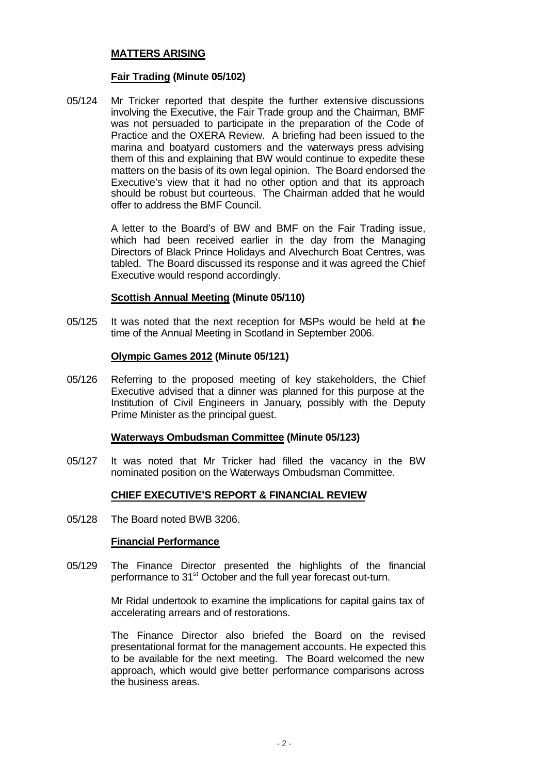## **MATTERS ARISING**

### **Fair Trading (Minute 05/102)**

05/124 Mr Tricker reported that despite the further extensive discussions involving the Executive, the Fair Trade group and the Chairman, BMF was not persuaded to participate in the preparation of the Code of Practice and the OXERA Review. A briefing had been issued to the marina and boatyard customers and the waterways press advising them of this and explaining that BW would continue to expedite these matters on the basis of its own legal opinion. The Board endorsed the Executive's view that it had no other option and that its approach should be robust but courteous. The Chairman added that he would offer to address the BMF Council.

> A letter to the Board's of BW and BMF on the Fair Trading issue, which had been received earlier in the day from the Managing Directors of Black Prince Holidays and Alvechurch Boat Centres, was tabled. The Board discussed its response and it was agreed the Chief Executive would respond accordingly.

## **Scottish Annual Meeting (Minute 05/110)**

05/125 It was noted that the next reception for MSPs would be held at the time of the Annual Meeting in Scotland in September 2006.

#### **Olympic Games 2012 (Minute 05/121)**

05/126 Referring to the proposed meeting of key stakeholders, the Chief Executive advised that a dinner was planned for this purpose at the Institution of Civil Engineers in January, possibly with the Deputy Prime Minister as the principal guest.

### **Waterways Ombudsman Committee (Minute 05/123)**

05/127 It was noted that Mr Tricker had filled the vacancy in the BW nominated position on the Waterways Ombudsman Committee.

## **CHIEF EXECUTIVE'S REPORT & FINANCIAL REVIEW**

05/128 The Board noted BWB 3206.

#### **Financial Performance**

05/129 The Finance Director presented the highlights of the financial performance to 31<sup>st</sup> October and the full year forecast out-turn.

> Mr Ridal undertook to examine the implications for capital gains tax of accelerating arrears and of restorations.

> The Finance Director also briefed the Board on the revised presentational format for the management accounts. He expected this to be available for the next meeting. The Board welcomed the new approach, which would give better performance comparisons across the business areas.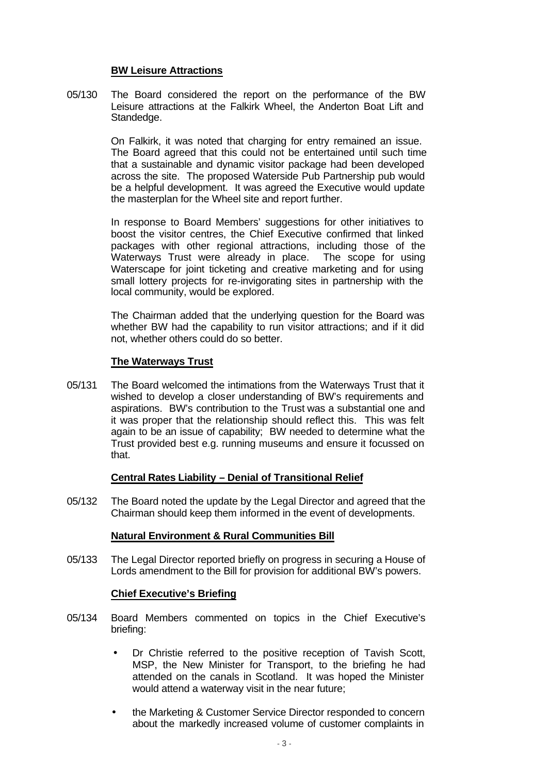### **BW Leisure Attractions**

05/130 The Board considered the report on the performance of the BW Leisure attractions at the Falkirk Wheel, the Anderton Boat Lift and Standedge.

> On Falkirk, it was noted that charging for entry remained an issue. The Board agreed that this could not be entertained until such time that a sustainable and dynamic visitor package had been developed across the site. The proposed Waterside Pub Partnership pub would be a helpful development. It was agreed the Executive would update the masterplan for the Wheel site and report further.

> In response to Board Members' suggestions for other initiatives to boost the visitor centres, the Chief Executive confirmed that linked packages with other regional attractions, including those of the Waterways Trust were already in place. The scope for using Waterscape for joint ticketing and creative marketing and for using small lottery projects for re-invigorating sites in partnership with the local community, would be explored.

> The Chairman added that the underlying question for the Board was whether BW had the capability to run visitor attractions; and if it did not, whether others could do so better.

#### **The Waterways Trust**

05/131 The Board welcomed the intimations from the Waterways Trust that it wished to develop a closer understanding of BW's requirements and aspirations. BW's contribution to the Trust was a substantial one and it was proper that the relationship should reflect this. This was felt again to be an issue of capability; BW needed to determine what the Trust provided best e.g. running museums and ensure it focussed on that.

#### **Central Rates Liability – Denial of Transitional Relief**

05/132 The Board noted the update by the Legal Director and agreed that the Chairman should keep them informed in the event of developments.

## **Natural Environment & Rural Communities Bill**

05/133 The Legal Director reported briefly on progress in securing a House of Lords amendment to the Bill for provision for additional BW's powers.

## **Chief Executive's Briefing**

- 05/134 Board Members commented on topics in the Chief Executive's briefing:
	- Dr Christie referred to the positive reception of Tavish Scott, MSP, the New Minister for Transport, to the briefing he had attended on the canals in Scotland. It was hoped the Minister would attend a waterway visit in the near future;
	- the Marketing & Customer Service Director responded to concern about the markedly increased volume of customer complaints in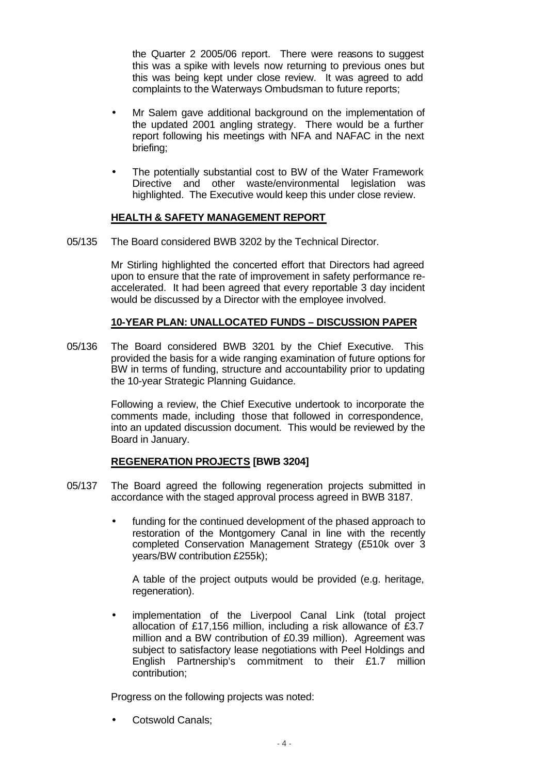the Quarter 2 2005/06 report. There were reasons to suggest this was a spike with levels now returning to previous ones but this was being kept under close review. It was agreed to add complaints to the Waterways Ombudsman to future reports;

- Mr Salem gave additional background on the implementation of the updated 2001 angling strategy. There would be a further report following his meetings with NFA and NAFAC in the next briefing;
- The potentially substantial cost to BW of the Water Framework Directive and other waste/environmental legislation was highlighted. The Executive would keep this under close review.

## **HEALTH & SAFETY MANAGEMENT REPORT**

05/135 The Board considered BWB 3202 by the Technical Director.

Mr Stirling highlighted the concerted effort that Directors had agreed upon to ensure that the rate of improvement in safety performance reaccelerated. It had been agreed that every reportable 3 day incident would be discussed by a Director with the employee involved.

## **10-YEAR PLAN: UNALLOCATED FUNDS – DISCUSSION PAPER**

05/136 The Board considered BWB 3201 by the Chief Executive. This provided the basis for a wide ranging examination of future options for BW in terms of funding, structure and accountability prior to updating the 10-year Strategic Planning Guidance.

> Following a review, the Chief Executive undertook to incorporate the comments made, including those that followed in correspondence, into an updated discussion document. This would be reviewed by the Board in January.

## **REGENERATION PROJECTS [BWB 3204]**

- 05/137 The Board agreed the following regeneration projects submitted in accordance with the staged approval process agreed in BWB 3187.
	- funding for the continued development of the phased approach to restoration of the Montgomery Canal in line with the recently completed Conservation Management Strategy (£510k over 3 years/BW contribution £255k);

A table of the project outputs would be provided (e.g. heritage, regeneration).

• implementation of the Liverpool Canal Link (total project allocation of £17,156 million, including a risk allowance of £3.7 million and a BW contribution of £0.39 million). Agreement was subject to satisfactory lease negotiations with Peel Holdings and English Partnership's commitment to their £1.7 million contribution;

Progress on the following projects was noted:

• Cotswold Canals;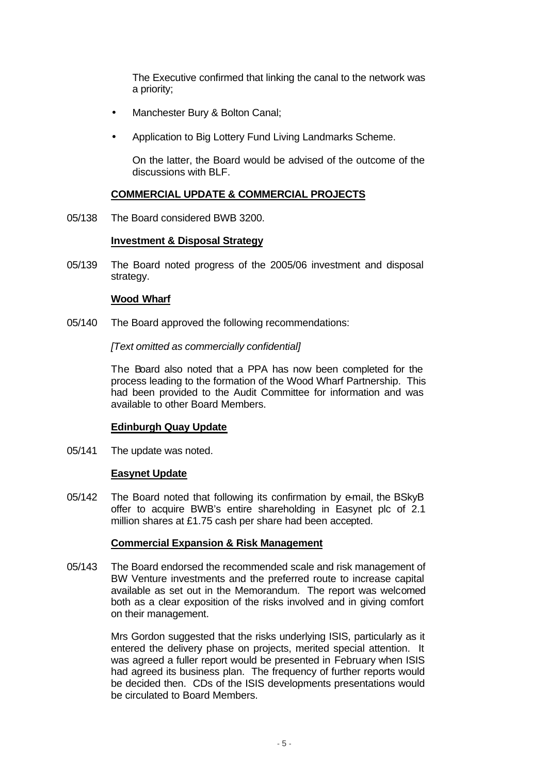The Executive confirmed that linking the canal to the network was a priority;

- Manchester Bury & Bolton Canal;
- Application to Big Lottery Fund Living Landmarks Scheme.

On the latter, the Board would be advised of the outcome of the discussions with BLF.

#### **COMMERCIAL UPDATE & COMMERCIAL PROJECTS**

05/138 The Board considered BWB 3200.

#### **Investment & Disposal Strategy**

05/139 The Board noted progress of the 2005/06 investment and disposal strategy.

#### **Wood Wharf**

05/140 The Board approved the following recommendations:

### *[Text omitted as commercially confidential]*

The Board also noted that a PPA has now been completed for the process leading to the formation of the Wood Wharf Partnership. This had been provided to the Audit Committee for information and was available to other Board Members.

#### **Edinburgh Quay Update**

05/141 The update was noted.

#### **Easynet Update**

05/142 The Board noted that following its confirmation by e-mail, the BSkyB offer to acquire BWB's entire shareholding in Easynet plc of 2.1 million shares at £1.75 cash per share had been accepted.

#### **Commercial Expansion & Risk Management**

05/143 The Board endorsed the recommended scale and risk management of BW Venture investments and the preferred route to increase capital available as set out in the Memorandum. The report was welcomed both as a clear exposition of the risks involved and in giving comfort on their management.

> Mrs Gordon suggested that the risks underlying ISIS, particularly as it entered the delivery phase on projects, merited special attention. It was agreed a fuller report would be presented in February when ISIS had agreed its business plan. The frequency of further reports would be decided then. CDs of the ISIS developments presentations would be circulated to Board Members.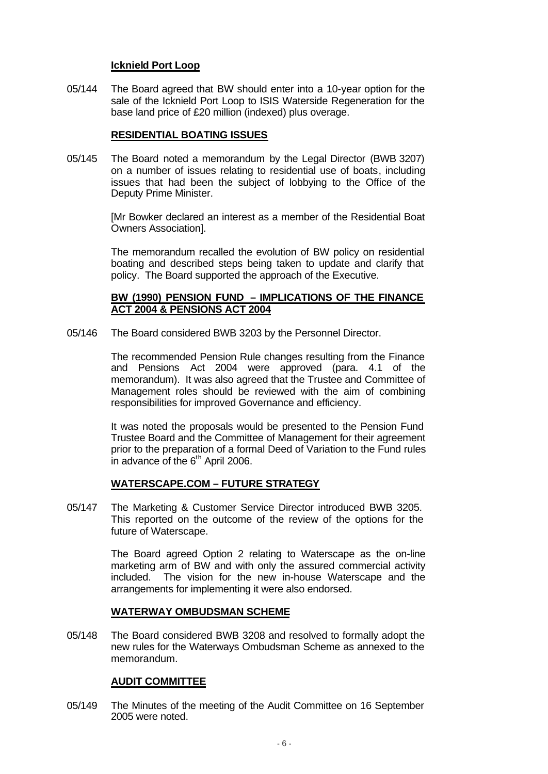### **Icknield Port Loop**

05/144 The Board agreed that BW should enter into a 10-year option for the sale of the Icknield Port Loop to ISIS Waterside Regeneration for the base land price of £20 million (indexed) plus overage.

#### **RESIDENTIAL BOATING ISSUES**

05/145 The Board noted a memorandum by the Legal Director (BWB 3207) on a number of issues relating to residential use of boats, including issues that had been the subject of lobbying to the Office of the Deputy Prime Minister.

> [Mr Bowker declared an interest as a member of the Residential Boat Owners Association].

> The memorandum recalled the evolution of BW policy on residential boating and described steps being taken to update and clarify that policy. The Board supported the approach of the Executive.

### **BW (1990) PENSION FUND – IMPLICATIONS OF THE FINANCE ACT 2004 & PENSIONS ACT 2004**

05/146 The Board considered BWB 3203 by the Personnel Director.

The recommended Pension Rule changes resulting from the Finance and Pensions Act 2004 were approved (para. 4.1 of the memorandum). It was also agreed that the Trustee and Committee of Management roles should be reviewed with the aim of combining responsibilities for improved Governance and efficiency.

It was noted the proposals would be presented to the Pension Fund Trustee Board and the Committee of Management for their agreement prior to the preparation of a formal Deed of Variation to the Fund rules in advance of the  $6<sup>th</sup>$  April 2006.

## **WATERSCAPE.COM – FUTURE STRATEGY**

05/147 The Marketing & Customer Service Director introduced BWB 3205. This reported on the outcome of the review of the options for the future of Waterscape.

> The Board agreed Option 2 relating to Waterscape as the on-line marketing arm of BW and with only the assured commercial activity included. The vision for the new in-house Waterscape and the arrangements for implementing it were also endorsed.

#### **WATERWAY OMBUDSMAN SCHEME**

05/148 The Board considered BWB 3208 and resolved to formally adopt the new rules for the Waterways Ombudsman Scheme as annexed to the memorandum.

## **AUDIT COMMITTEE**

05/149 The Minutes of the meeting of the Audit Committee on 16 September 2005 were noted.